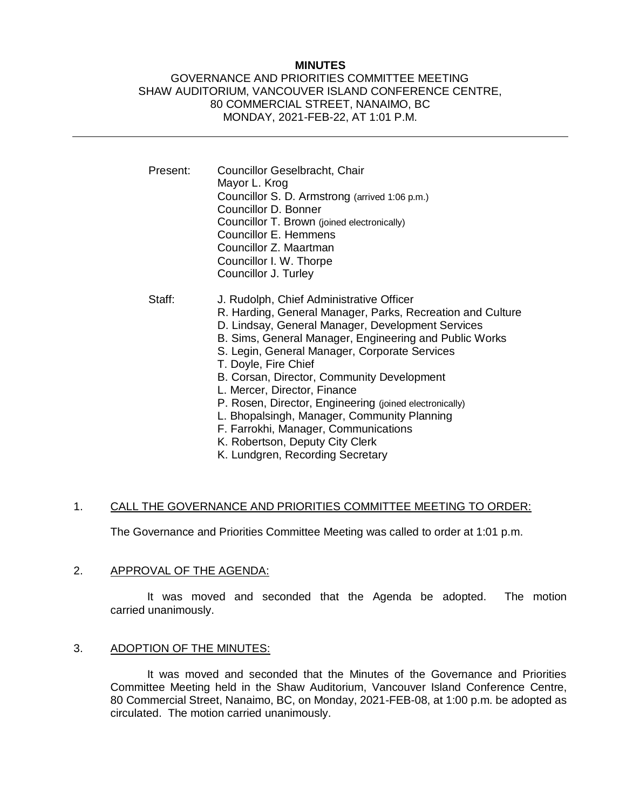## **MINUTES**

## GOVERNANCE AND PRIORITIES COMMITTEE MEETING SHAW AUDITORIUM, VANCOUVER ISLAND CONFERENCE CENTRE, 80 COMMERCIAL STREET, NANAIMO, BC MONDAY, 2021-FEB-22, AT 1:01 P.M.

| Present: | Councillor Geselbracht, Chair<br>Mayor L. Krog<br>Councillor S. D. Armstrong (arrived 1:06 p.m.)<br>Councillor D. Bonner<br>Councillor T. Brown (joined electronically)<br>Councillor E. Hemmens<br>Councillor Z. Maartman<br>Councillor I. W. Thorpe<br>Councillor J. Turley                                                                                                                                                                                                                                                                                                                         |
|----------|-------------------------------------------------------------------------------------------------------------------------------------------------------------------------------------------------------------------------------------------------------------------------------------------------------------------------------------------------------------------------------------------------------------------------------------------------------------------------------------------------------------------------------------------------------------------------------------------------------|
| Staff:   | J. Rudolph, Chief Administrative Officer<br>R. Harding, General Manager, Parks, Recreation and Culture<br>D. Lindsay, General Manager, Development Services<br>B. Sims, General Manager, Engineering and Public Works<br>S. Legin, General Manager, Corporate Services<br>T. Doyle, Fire Chief<br>B. Corsan, Director, Community Development<br>L. Mercer, Director, Finance<br>P. Rosen, Director, Engineering (joined electronically)<br>L. Bhopalsingh, Manager, Community Planning<br>F. Farrokhi, Manager, Communications<br>K. Robertson, Deputy City Clerk<br>K. Lundgren, Recording Secretary |

## 1. CALL THE GOVERNANCE AND PRIORITIES COMMITTEE MEETING TO ORDER:

The Governance and Priorities Committee Meeting was called to order at 1:01 p.m.

#### 2. APPROVAL OF THE AGENDA:

It was moved and seconded that the Agenda be adopted. The motion carried unanimously.

#### 3. ADOPTION OF THE MINUTES:

It was moved and seconded that the Minutes of the Governance and Priorities Committee Meeting held in the Shaw Auditorium, Vancouver Island Conference Centre, 80 Commercial Street, Nanaimo, BC, on Monday, 2021-FEB-08, at 1:00 p.m. be adopted as circulated. The motion carried unanimously.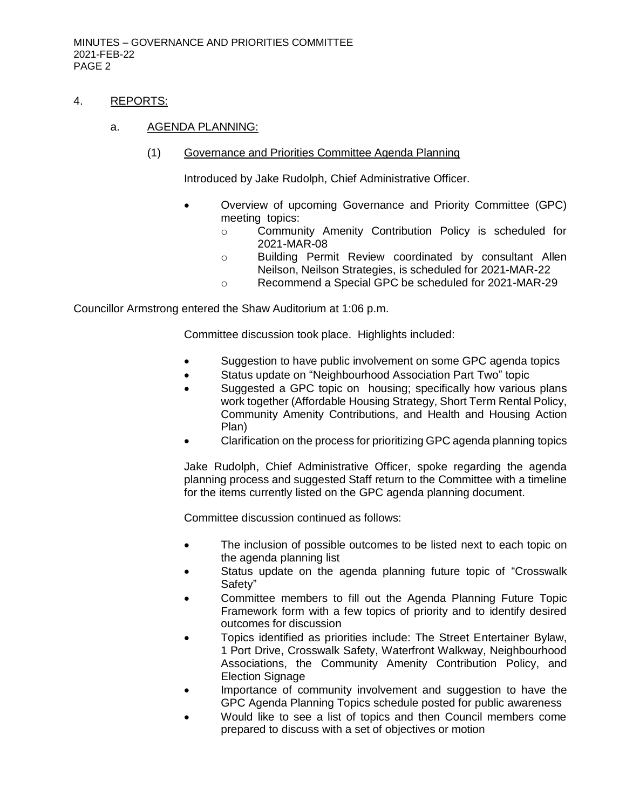## 4. REPORTS:

#### a. AGENDA PLANNING:

(1) Governance and Priorities Committee Agenda Planning

Introduced by Jake Rudolph, Chief Administrative Officer.

- Overview of upcoming Governance and Priority Committee (GPC) meeting topics:
	- o Community Amenity Contribution Policy is scheduled for 2021-MAR-08
	- o Building Permit Review coordinated by consultant Allen Neilson, Neilson Strategies, is scheduled for 2021-MAR-22
	- o Recommend a Special GPC be scheduled for 2021-MAR-29

Councillor Armstrong entered the Shaw Auditorium at 1:06 p.m.

Committee discussion took place. Highlights included:

- Suggestion to have public involvement on some GPC agenda topics
- Status update on "Neighbourhood Association Part Two" topic
- Suggested a GPC topic on housing; specifically how various plans work together (Affordable Housing Strategy, Short Term Rental Policy, Community Amenity Contributions, and Health and Housing Action Plan)
- Clarification on the process for prioritizing GPC agenda planning topics

Jake Rudolph, Chief Administrative Officer, spoke regarding the agenda planning process and suggested Staff return to the Committee with a timeline for the items currently listed on the GPC agenda planning document.

Committee discussion continued as follows:

- The inclusion of possible outcomes to be listed next to each topic on the agenda planning list
- Status update on the agenda planning future topic of "Crosswalk Safety"
- Committee members to fill out the Agenda Planning Future Topic Framework form with a few topics of priority and to identify desired outcomes for discussion
- Topics identified as priorities include: The Street Entertainer Bylaw, 1 Port Drive, Crosswalk Safety, Waterfront Walkway, Neighbourhood Associations, the Community Amenity Contribution Policy, and Election Signage
- Importance of community involvement and suggestion to have the GPC Agenda Planning Topics schedule posted for public awareness
- Would like to see a list of topics and then Council members come prepared to discuss with a set of objectives or motion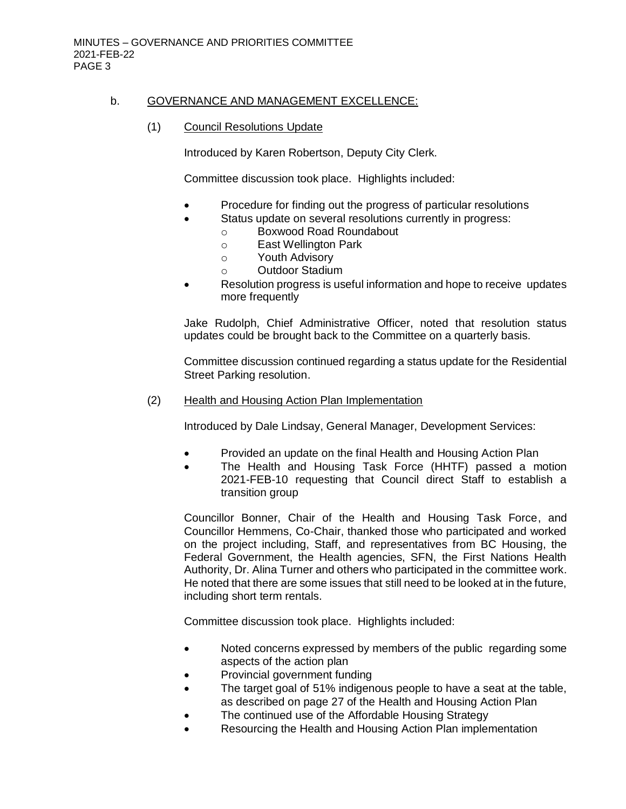## b. GOVERNANCE AND MANAGEMENT EXCELLENCE:

(1) Council Resolutions Update

Introduced by Karen Robertson, Deputy City Clerk.

Committee discussion took place. Highlights included:

- Procedure for finding out the progress of particular resolutions
	- Status update on several resolutions currently in progress:
		- o Boxwood Road Roundabout
			- o East Wellington Park
			- o Youth Advisory
			- o Outdoor Stadium
- Resolution progress is useful information and hope to receive updates more frequently

Jake Rudolph, Chief Administrative Officer, noted that resolution status updates could be brought back to the Committee on a quarterly basis.

Committee discussion continued regarding a status update for the Residential Street Parking resolution.

(2) Health and Housing Action Plan Implementation

Introduced by Dale Lindsay, General Manager, Development Services:

- Provided an update on the final Health and Housing Action Plan
- The Health and Housing Task Force (HHTF) passed a motion 2021-FEB-10 requesting that Council direct Staff to establish a transition group

Councillor Bonner, Chair of the Health and Housing Task Force, and Councillor Hemmens, Co-Chair, thanked those who participated and worked on the project including, Staff, and representatives from BC Housing, the Federal Government, the Health agencies, SFN, the First Nations Health Authority, Dr. Alina Turner and others who participated in the committee work. He noted that there are some issues that still need to be looked at in the future, including short term rentals.

Committee discussion took place. Highlights included:

- Noted concerns expressed by members of the public regarding some aspects of the action plan
- Provincial government funding
- The target goal of 51% indigenous people to have a seat at the table, as described on page 27 of the Health and Housing Action Plan
- The continued use of the Affordable Housing Strategy
- Resourcing the Health and Housing Action Plan implementation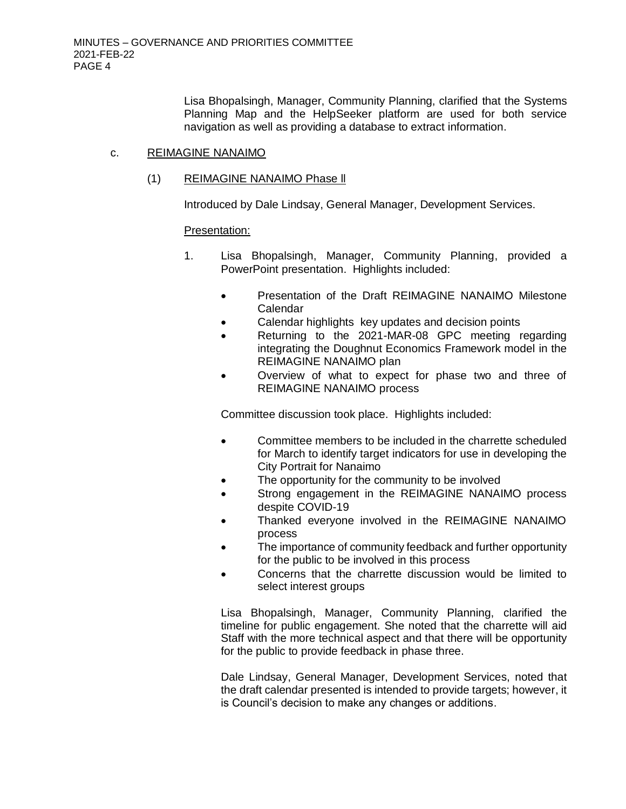Lisa Bhopalsingh, Manager, Community Planning, clarified that the Systems Planning Map and the HelpSeeker platform are used for both service navigation as well as providing a database to extract information.

#### c. REIMAGINE NANAIMO

## (1) REIMAGINE NANAIMO Phase ll

Introduced by Dale Lindsay, General Manager, Development Services.

#### Presentation:

- 1. Lisa Bhopalsingh, Manager, Community Planning, provided a PowerPoint presentation. Highlights included:
	- Presentation of the Draft REIMAGINE NANAIMO Milestone Calendar
	- Calendar highlights key updates and decision points
	- Returning to the 2021-MAR-08 GPC meeting regarding integrating the Doughnut Economics Framework model in the REIMAGINE NANAIMO plan
	- Overview of what to expect for phase two and three of REIMAGINE NANAIMO process

Committee discussion took place. Highlights included:

- Committee members to be included in the charrette scheduled for March to identify target indicators for use in developing the City Portrait for Nanaimo
- The opportunity for the community to be involved
- Strong engagement in the REIMAGINE NANAIMO process despite COVID-19
- Thanked everyone involved in the REIMAGINE NANAIMO process
- The importance of community feedback and further opportunity for the public to be involved in this process
- Concerns that the charrette discussion would be limited to select interest groups

Lisa Bhopalsingh, Manager, Community Planning, clarified the timeline for public engagement. She noted that the charrette will aid Staff with the more technical aspect and that there will be opportunity for the public to provide feedback in phase three.

Dale Lindsay, General Manager, Development Services, noted that the draft calendar presented is intended to provide targets; however, it is Council's decision to make any changes or additions.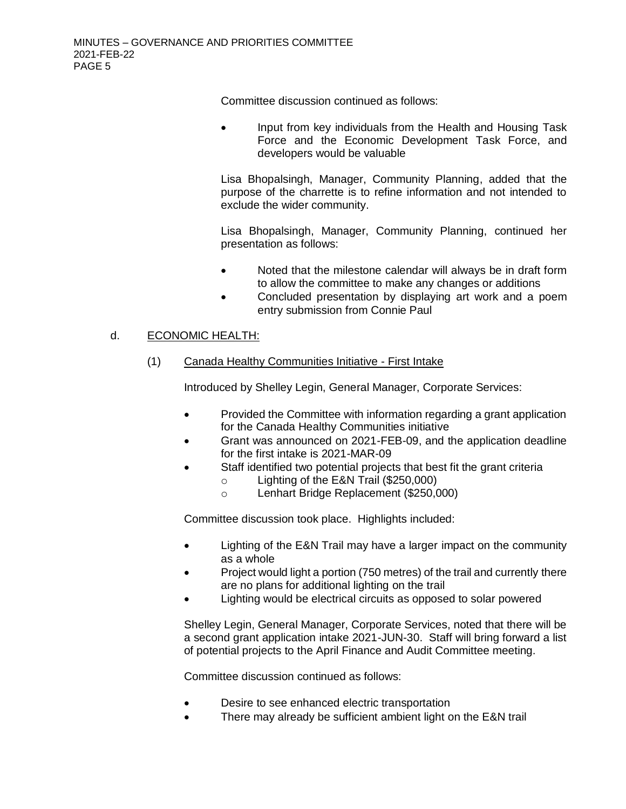Committee discussion continued as follows:

 Input from key individuals from the Health and Housing Task Force and the Economic Development Task Force, and developers would be valuable

Lisa Bhopalsingh, Manager, Community Planning, added that the purpose of the charrette is to refine information and not intended to exclude the wider community.

Lisa Bhopalsingh, Manager, Community Planning, continued her presentation as follows:

- Noted that the milestone calendar will always be in draft form to allow the committee to make any changes or additions
- Concluded presentation by displaying art work and a poem entry submission from Connie Paul

# d. ECONOMIC HEALTH:

(1) Canada Healthy Communities Initiative - First Intake

Introduced by Shelley Legin, General Manager, Corporate Services:

- Provided the Committee with information regarding a grant application for the Canada Healthy Communities initiative
- Grant was announced on 2021-FEB-09, and the application deadline for the first intake is 2021-MAR-09
	- Staff identified two potential projects that best fit the grant criteria
		- o Lighting of the E&N Trail (\$250,000)
		- o Lenhart Bridge Replacement (\$250,000)

Committee discussion took place. Highlights included:

- Lighting of the E&N Trail may have a larger impact on the community as a whole
- Project would light a portion (750 metres) of the trail and currently there are no plans for additional lighting on the trail
- Lighting would be electrical circuits as opposed to solar powered

Shelley Legin, General Manager, Corporate Services, noted that there will be a second grant application intake 2021-JUN-30. Staff will bring forward a list of potential projects to the April Finance and Audit Committee meeting.

Committee discussion continued as follows:

- Desire to see enhanced electric transportation
- There may already be sufficient ambient light on the E&N trail